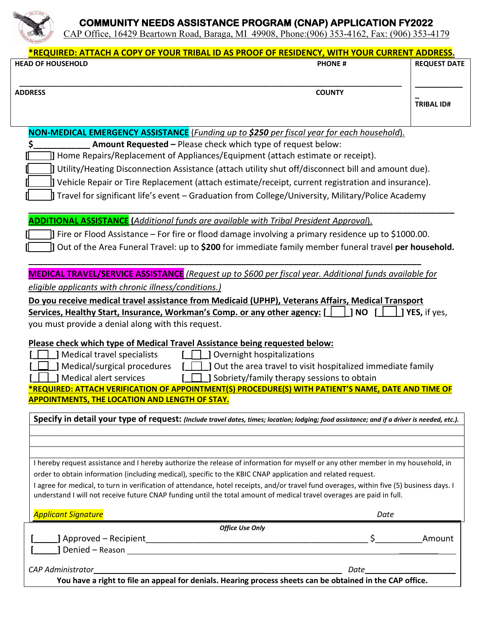

## **COMMUNITY NEEDS ASSISTANCE PROGRAM (CNAP) APPLICATION FY2022**

CAP Office, 16429 Beartown Road, Baraga, MI 49908, Phone:(906) 353-4162, Fax: (906) 353-4179

| *REQUIRED: ATTACH A COPY OF YOUR TRIBAL ID AS PROOF OF RESIDENCY, WITH YOUR CURRENT ADDRESS.                                                                                                                                                                       |                                                                                                          |                     |
|--------------------------------------------------------------------------------------------------------------------------------------------------------------------------------------------------------------------------------------------------------------------|----------------------------------------------------------------------------------------------------------|---------------------|
| <b>HEAD OF HOUSEHOLD</b>                                                                                                                                                                                                                                           | <b>PHONE#</b>                                                                                            | <b>REQUEST DATE</b> |
| <b>ADDRESS</b>                                                                                                                                                                                                                                                     | <b>COUNTY</b>                                                                                            |                     |
|                                                                                                                                                                                                                                                                    |                                                                                                          | <b>TRIBAL ID#</b>   |
| NON-MEDICAL EMERGENCY ASSISTANCE (Funding up to \$250 per fiscal year for each household).                                                                                                                                                                         |                                                                                                          |                     |
| Amount Requested - Please check which type of request below:                                                                                                                                                                                                       |                                                                                                          |                     |
| ] Home Repairs/Replacement of Appliances/Equipment (attach estimate or receipt).                                                                                                                                                                                   |                                                                                                          |                     |
| J Utility/Heating Disconnection Assistance (attach utility shut off/disconnect bill and amount due).                                                                                                                                                               |                                                                                                          |                     |
| Vehicle Repair or Tire Replacement (attach estimate/receipt, current registration and insurance).                                                                                                                                                                  |                                                                                                          |                     |
| Travel for significant life's event – Graduation from College/University, Military/Police Academy                                                                                                                                                                  |                                                                                                          |                     |
| <b>ADDITIONAL ASSISTANCE</b> (Additional funds are available with Tribal President Approval).                                                                                                                                                                      |                                                                                                          |                     |
| I Fire or Flood Assistance – For fire or flood damage involving a primary residence up to \$1000.00.                                                                                                                                                               |                                                                                                          |                     |
|                                                                                                                                                                                                                                                                    | Out of the Area Funeral Travel: up to \$200 for immediate family member funeral travel per household.    |                     |
| <b>MEDICAL TRAVEL/SERVICE ASSISTANCE</b> (Request up to \$600 per fiscal year. Additional funds available for                                                                                                                                                      |                                                                                                          |                     |
| eligible applicants with chronic illness/conditions.)                                                                                                                                                                                                              |                                                                                                          |                     |
| Do you receive medical travel assistance from Medicaid (UPHP), Veterans Affairs, Medical Transport                                                                                                                                                                 |                                                                                                          |                     |
| Services, Healthy Start, Insurance, Workman's Comp. or any other agency: [                                                                                                                                                                                         | <b>NO</b>                                                                                                | YES, if yes,        |
| you must provide a denial along with this request.                                                                                                                                                                                                                 |                                                                                                          |                     |
|                                                                                                                                                                                                                                                                    |                                                                                                          |                     |
| Please check which type of Medical Travel Assistance being requested below:                                                                                                                                                                                        |                                                                                                          |                     |
| Medical travel specialists                                                                                                                                                                                                                                         | Overnight hospitalizations                                                                               |                     |
| Medical/surgical procedures<br>Medical alert services                                                                                                                                                                                                              | Out the area travel to visit hospitalized immediate family<br>Sobriety/family therapy sessions to obtain |                     |
| REQUIRED: ATTACH VERIFICATION OF APPOINTMENT(S) PROCEDURE(S) WITH PATIENT'S NAME, DATE AND TIME OF                                                                                                                                                                 |                                                                                                          |                     |
| <u>APPOINTMENTS, THE LOCATION AND LENGTH OF STAY.</u>                                                                                                                                                                                                              |                                                                                                          |                     |
| Specify in detail your type of request: (Include travel dates, times; location; lodging; food assistance; and if a driver is needed, etc.).                                                                                                                        |                                                                                                          |                     |
| I hereby request assistance and I hereby authorize the release of information for myself or any other member in my household, in                                                                                                                                   |                                                                                                          |                     |
| order to obtain information (including medical), specific to the KBIC CNAP application and related request.                                                                                                                                                        |                                                                                                          |                     |
| I agree for medical, to turn in verification of attendance, hotel receipts, and/or travel fund overages, within five (5) business days. I<br>understand I will not receive future CNAP funding until the total amount of medical travel overages are paid in full. |                                                                                                          |                     |
| <b>Applicant Signature</b>                                                                                                                                                                                                                                         | Date                                                                                                     |                     |
|                                                                                                                                                                                                                                                                    |                                                                                                          |                     |
|                                                                                                                                                                                                                                                                    | <b>Office Use Only</b><br>$\mathsf{S}$                                                                   | Amount              |
|                                                                                                                                                                                                                                                                    |                                                                                                          |                     |
|                                                                                                                                                                                                                                                                    |                                                                                                          |                     |
| CAP Administrator<br>You have a right to file an appeal for denials. Hearing process sheets can be obtained in the CAP office.                                                                                                                                     |                                                                                                          |                     |
|                                                                                                                                                                                                                                                                    |                                                                                                          |                     |